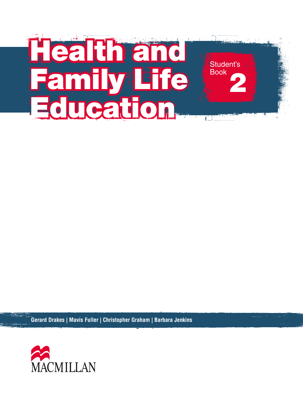

**Gerard Drakes | Mavis Fuller | Christopher Graham | Barbara Jenkins**

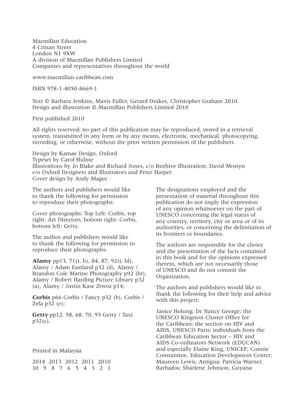Macmillan Education 4 Crinan Street London N1 9XW A division of Macmillan Publishers Limited Companies and representatives throughout the world

www.macmillan-caribbean.com

ISBN 978-1-4050-8669-1

Text © Barbara Jenkins, Mavis Fuller, Gerard Drakes, Christopher Graham 2010 Design and illustration © Macmillan Publishers Limited 2010

First published 2010

All rights reserved; no part of this publication may be reproduced, stored in a retrieval system, transmitted in any form or by any means, electronic, mechanical, photocopying, recording, or otherwise, without the prior written permission of the publishers.

Design by Kamae Design, Oxford Typeset by Carol Hulme Illustrations by Jo Blake and Richard Jones, c/o Beehive Illustration; David Mostyn c/o Oxford Designers and Illustrators and Peter Harper Cover design by Andy Magee

The authors and publishers would like to thank the following for permission to reproduce their photographs:

Cover photographs: Top Left: Corbis, top right: Art Directors, bottom right: Corbis, bottom left: Getty.

The author and publishers would like to thank the following for permission to reproduce their photographs:

**Alamy** pp13, 71(t, b), 84, 87, 92(t, bl), Alamy / Adam Eastland p32 (d), Alamy / Brandon Cole Marine Photography p92 (br), Alamy / Robert Harding Picture Library p32 (a), Alamy / Justin Kase Ztwoz p14;

**Corbis** p66 Corbis / Fancy p32 (b), Corbis / Zefa p32 (e);

**Getty** pp12, 58, 68, 70, 93 Getty / Taxi  $p32(c)$ .

Printed in Malaysia

2014 2013 2012 2011 2010 10 9 8 7 6 5 4 3 2 1 The designations employed and the presentation of material throughout this publication do not imply the expression of any opinion whatsoever on the part of UNESCO concerning the legal status of any country, territory, city or area or of its authorities, or concerning the delimitation of its frontiers or boundaries.

The authors are responsible for the choice and the presentation of the facts contained in this book and for the opinions expressed therein, which are not necessarily those of UNESCO and do not commit the Organization.

The authors and publishers would like to thank the following for their help and advice with this project:

Janice Holung; Dr Nancy George; the UNESCO Kingston Cluster Office for the Caribbean; the section on HIV and AIDS, UNESCO Paris; individuals from the Caribbean Education Sector – HIV and AIDS Co-ordinators Network (EDUCAN) and especially Elaine King, UNICEF; Connie Constantine, Education Development Center; Maureen Lewis, Antigua; Patricia Warner, Barbados; Sharlene Johnson, Guyana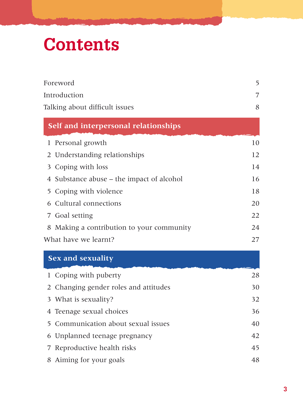# **Contents**

| Foreword             |                                           | 5  |
|----------------------|-------------------------------------------|----|
| Introduction         |                                           |    |
|                      | Talking about difficult issues            | 8  |
|                      | Self and interpersonal relationships      |    |
|                      | 1 Personal growth                         | 10 |
|                      | 2 Understanding relationships             | 12 |
|                      | 3 Coping with loss                        | 14 |
|                      | 4 Substance abuse – the impact of alcohol | 16 |
|                      | 5 Coping with violence                    | 18 |
|                      | 6 Cultural connections                    | 20 |
|                      | 7 Goal setting                            | 22 |
|                      | 8 Making a contribution to your community | 24 |
| What have we learnt? |                                           | 27 |
|                      |                                           |    |

## **Sex and sexuality**

| 1 Coping with puberty                 | 28 |
|---------------------------------------|----|
| 2 Changing gender roles and attitudes | 30 |
| 3 What is sexuality?                  | 32 |
| 4 Teenage sexual choices              | 36 |
| 5 Communication about sexual issues   | 40 |
| 6 Unplanned teenage pregnancy         | 42 |
| 7 Reproductive health risks           | 45 |
| 8 Aiming for your goals               | 48 |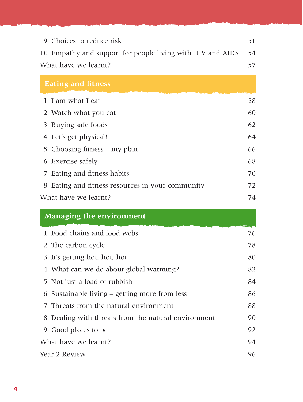| 9  | Choices to reduce risk                                     | 51 |
|----|------------------------------------------------------------|----|
|    | 10 Empathy and support for people living with HIV and AIDS | 54 |
|    | What have we learnt?                                       |    |
|    | <b>Eating and fitness</b>                                  |    |
|    | 1 I am what I eat                                          | 58 |
|    | 2 Watch what you eat                                       | 60 |
| 3  | Buying safe foods                                          | 62 |
|    | 4 Let's get physical!                                      | 64 |
| 5. | Choosing fitness – my plan                                 | 66 |
| 6  | Exercise safely                                            | 68 |
| 7  | Eating and fitness habits                                  | 70 |
|    | 8 Eating and fitness resources in your community           | 72 |
|    | What have we learnt?                                       | 74 |

### **Managing the environment**

|               | 1 Food chains and food webs                         | 76 |
|---------------|-----------------------------------------------------|----|
|               | 2 The carbon cycle                                  | 78 |
|               | 3 It's getting hot, hot, hot                        | 80 |
|               | 4 What can we do about global warming?              | 82 |
|               | 5 Not just a load of rubbish                        | 84 |
|               | 6 Sustainable living – getting more from less       | 86 |
|               | 7 Threats from the natural environment              | 88 |
|               | 8 Dealing with threats from the natural environment | 90 |
|               | 9 Good places to be                                 | 92 |
|               | What have we learnt?                                | 94 |
| Year 2 Review |                                                     | 96 |